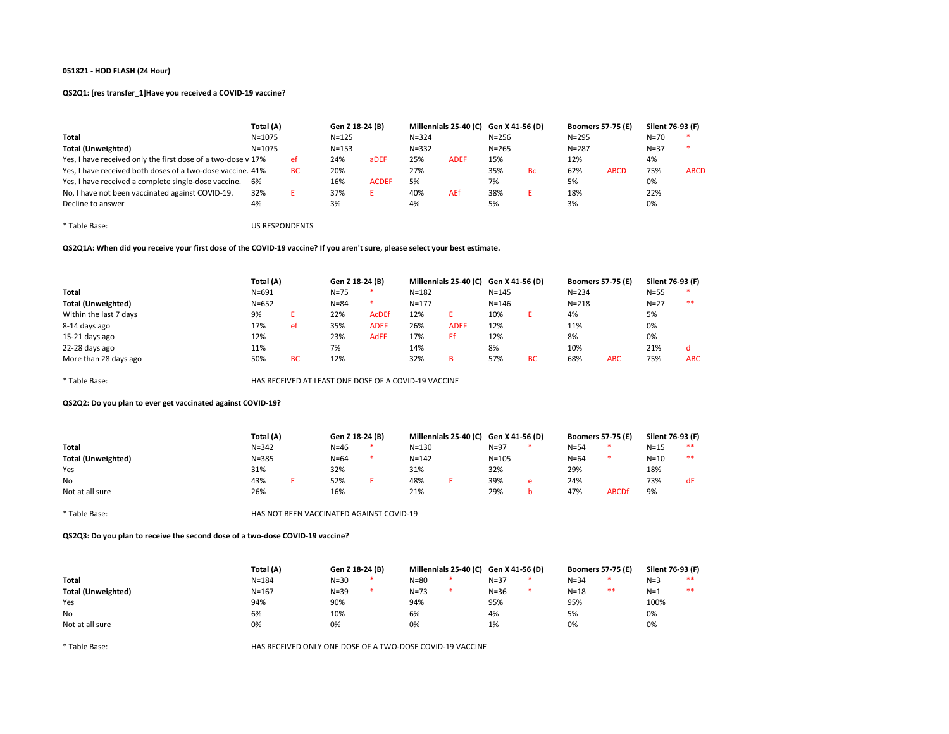# QS2Q1: [res transfer\_1]Have you received a COVID-19 vaccine?

|                                                              | Total (A)  |     |           | Gen Z 18-24 (B) |           | Millennials 25-40 (C) Gen X 41-56 (D) |           |           | <b>Boomers 57-75 (E)</b> |             | Silent 76-93 (F) |             |
|--------------------------------------------------------------|------------|-----|-----------|-----------------|-----------|---------------------------------------|-----------|-----------|--------------------------|-------------|------------------|-------------|
| Total                                                        | $N = 1075$ |     | $N = 125$ |                 | $N = 324$ |                                       | $N = 256$ |           | $N = 295$                |             | $N=70$           | $\ast$      |
| Total (Unweighted)                                           | $N = 1075$ |     | $N = 153$ |                 | $N = 332$ |                                       | $N = 265$ |           | $N = 287$                |             | $N = 37$         | $\ast$      |
| Yes, I have received only the first dose of a two-dose v 17% |            | ef. | 24%       | aDEF            | 25%       | <b>ADEF</b>                           | 15%       |           | 12%                      |             | 4%               |             |
| Yes, I have received both doses of a two-dose vaccine. 41%   |            | BC. | 20%       |                 | 27%       |                                       | 35%       | <b>Bc</b> | 62%                      | <b>ABCD</b> | 75%              | <b>ABCD</b> |
| Yes, I have received a complete single-dose vaccine.         | 6%         |     | 16%       | <b>ACDEF</b>    | 5%        |                                       | 7%        |           | 5%                       |             | 0%               |             |
| No, I have not been vaccinated against COVID-19.             | 32%        |     | 37%       |                 | 40%       | AEf                                   | 38%       |           | 18%                      |             | 22%              |             |
| Decline to answer                                            | 4%         |     | 3%        |                 | 4%        |                                       | 5%        |           | 3%                       |             | 0%               |             |

\* Table Base: US RESPONDENTS

# QS2Q1A: When did you receive your first dose of the COVID-19 vaccine? If you aren't sure, please select your best estimate.

|                        | Total (A) |           | Gen Z 18-24 (B) |              |           | Millennials 25-40 (C) Gen X 41-56 (D) |           |    | <b>Boomers 57-75 (E)</b> |            | Silent 76-93 (F) |            |
|------------------------|-----------|-----------|-----------------|--------------|-----------|---------------------------------------|-----------|----|--------------------------|------------|------------------|------------|
| Total                  | $N = 691$ |           | $N = 75$        |              | $N = 182$ |                                       | $N = 145$ |    | $N = 234$                |            | $N = 55$         |            |
| Total (Unweighted)     | $N = 652$ |           | $N = 84$        | *.           | $N = 177$ |                                       | $N = 146$ |    | $N = 218$                |            | $N=27$           | $***$      |
| Within the last 7 days | 9%        |           | 22%             | <b>AcDEf</b> | 12%       |                                       | 10%       |    | 4%                       |            | 5%               |            |
| 8-14 days ago          | 17%       | ef        | 35%             | <b>ADEF</b>  | 26%       | <b>ADEF</b>                           | 12%       |    | 11%                      |            | 0%               |            |
| 15-21 days ago         | 12%       |           | 23%             | <b>AdEF</b>  | 17%       | Ef                                    | 12%       |    | 8%                       |            | 0%               |            |
| 22-28 days ago         | 11%       |           | 7%              |              | 14%       |                                       | 8%        |    | 10%                      |            | 21%              |            |
| More than 28 days ago  | 50%       | <b>BC</b> | 12%             |              | 32%       |                                       | 57%       | вc | 68%                      | <b>ABC</b> | 75%              | <b>ABC</b> |

\* Table Base: HAS RECEIVED AT LEAST ONE DOSE OF A COVID-19 VACCINE

### QS2Q2: Do you plan to ever get vaccinated against COVID-19?

|                           | Total (A) | Gen Z 18-24 (B) |   |           | Millennials 25-40 (C) Gen X 41-56 (D) |           |        | <b>Boomers 57-75 (E)</b> |              | Silent 76-93 (F) |    |
|---------------------------|-----------|-----------------|---|-----------|---------------------------------------|-----------|--------|--------------------------|--------------|------------------|----|
| <b>Total</b>              | $N = 342$ | $N=46$          |   | $N = 130$ |                                       | $N=97$    |        | $N = 54$                 |              | $N = 15$         | ** |
| <b>Total (Unweighted)</b> | $N = 385$ | $N = 64$        | * | $N = 142$ |                                       | $N = 105$ |        | $N = 64$                 |              | $N=10$           | ** |
| Yes                       | 31%       | 32%             |   | 31%       |                                       | 32%       |        | 29%                      |              | 18%              |    |
| No                        | 43%       | 52%             |   | 48%       |                                       | 39%       | $\sim$ | 24%                      |              | 73%              | dE |
| Not at all sure           | 26%       | 16%             |   | 21%       |                                       | 29%       |        | 47%                      | <b>ABCDf</b> | 9%               |    |

\* Table Base: HAS NOT BEEN VACCINATED AGAINST COVID-19

QS2Q3: Do you plan to receive the second dose of a two-dose COVID-19 vaccine?

|                           | Total (A) | Gen Z 18-24 (B) |   |          | Millennials 25-40 (C) Gen X 41-56 (D) |          | <b>Boomers 57-75 (E)</b> |      | Silent 76-93 (F) |    |
|---------------------------|-----------|-----------------|---|----------|---------------------------------------|----------|--------------------------|------|------------------|----|
| Total                     | $N = 184$ | $N = 30$        | * | $N = 80$ |                                       | $N = 37$ | $N = 34$                 |      | $N=3$            | ** |
| <b>Total (Unweighted)</b> | $N = 167$ | $N = 39$        | * | $N = 73$ |                                       | $N = 36$ | $N = 18$                 | $**$ | $N=1$            | ** |
| Yes                       | 94%       | 90%             |   | 94%      |                                       | 95%      | 95%                      |      | 100%             |    |
| No                        | 6%        | 10%             |   | 6%       |                                       | 4%       | 5%                       |      | 0%               |    |
| Not at all sure           | 0%        | 0%              |   | 0%       |                                       | 1%       | 0%                       |      | 0%               |    |
|                           |           |                 |   |          |                                       |          |                          |      |                  |    |

\* Table Base: HAS RECEIVED ONLY ONE DOSE OF A TWO-DOSE COVID-19 VACCINE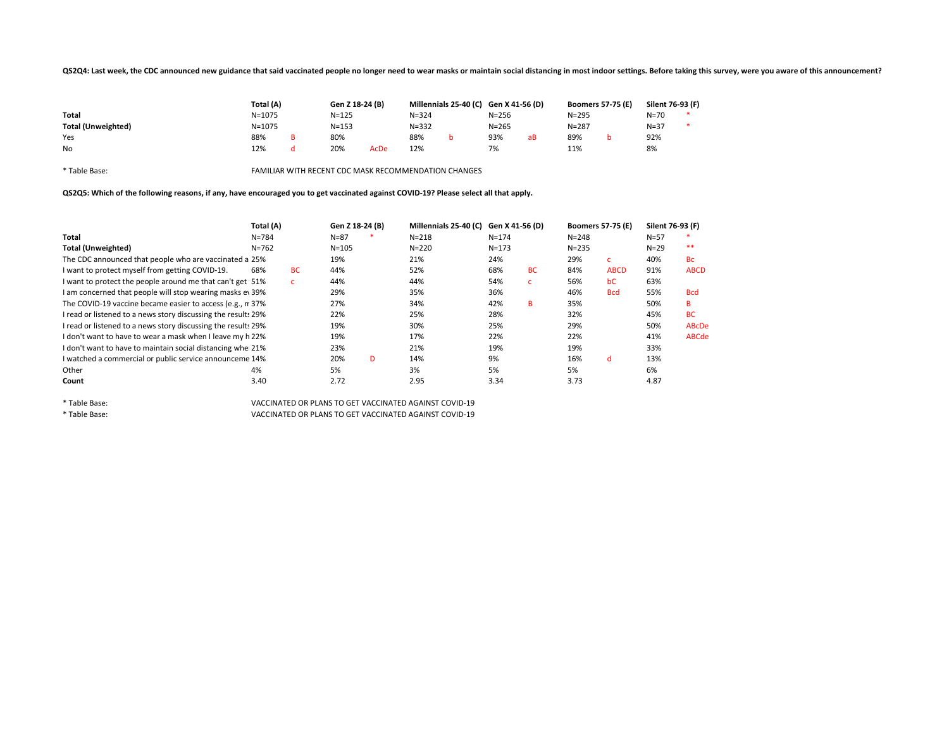### QS2Q4: Last week, the CDC announced new guidance that said vaccinated people no longer need to wear masks or maintain social distancing in most indoor settings. Before taking this survey, were you aware of this announcemen

|                           | Total (A)  | Gen Z 18-24 (B) |      |           | Millennials 25-40 (C) Gen X 41-56 (D) |           |    | <b>Boomers 57-75 (E)</b> | Silent 76-93 (F) |  |
|---------------------------|------------|-----------------|------|-----------|---------------------------------------|-----------|----|--------------------------|------------------|--|
| <b>Total</b>              | $N = 1075$ | $N = 125$       |      | $N = 324$ |                                       | $N = 256$ |    | $N = 295$                | N=70             |  |
| <b>Total (Unweighted)</b> | $N = 1075$ | $N = 153$       |      | $N = 332$ |                                       | $N = 265$ |    | $N = 287$                | $N = 37$         |  |
| Yes                       | 88%        | 80%             |      | 88%       |                                       | 93%       | aВ | 89%                      | 92%              |  |
| No                        | 12%        | 20%             | AcDe | 12%       |                                       | 7%        |    | 11%                      | 8%               |  |

\* Table Base: FAMILIAR WITH RECENT CDC MASK RECOMMENDATION CHANGES

QS2Q5: Which of the following reasons, if any, have encouraged you to get vaccinated against COVID-19? Please select all that apply.

|                                                               | Total (A) |           | Gen Z 18-24 (B) |   | Millennials 25-40 (C) | Gen X 41-56 (D) |           | <b>Boomers 57-75 (E)</b> |              | Silent 76-93 (F) |              |
|---------------------------------------------------------------|-----------|-----------|-----------------|---|-----------------------|-----------------|-----------|--------------------------|--------------|------------------|--------------|
| Total                                                         | $N = 784$ |           | $N = 87$        |   | $N = 218$             | $N = 174$       |           | $N = 248$                |              | $N = 57$         |              |
| <b>Total (Unweighted)</b>                                     | $N = 762$ |           | $N = 105$       |   | $N = 220$             | $N = 173$       |           | $N = 235$                |              | $N=29$           | $**$         |
| The CDC announced that people who are vaccinated a 25%        |           |           | 19%             |   | 21%                   | 24%             |           | 29%                      | $\mathbf{C}$ | 40%              | <b>Bc</b>    |
| I want to protect myself from getting COVID-19.               | 68%       | <b>BC</b> | 44%             |   | 52%                   | 68%             | <b>BC</b> | 84%                      | <b>ABCD</b>  | 91%              | <b>ABCD</b>  |
| I want to protect the people around me that can't get 51%     |           | c.        | 44%             |   | 44%                   | 54%             | C.        | 56%                      | bC           | 63%              |              |
| I am concerned that people will stop wearing masks ev 39%     |           |           | 29%             |   | 35%                   | 36%             |           | 46%                      | <b>Bcd</b>   | 55%              | <b>Bcd</b>   |
| The COVID-19 vaccine became easier to access (e.g., n 37%     |           |           | 27%             |   | 34%                   | 42%             | B         | 35%                      |              | 50%              | B            |
| I read or listened to a news story discussing the result: 29% |           |           | 22%             |   | 25%                   | 28%             |           | 32%                      |              | 45%              | <b>BC</b>    |
| I read or listened to a news story discussing the result: 29% |           |           | 19%             |   | 30%                   | 25%             |           | 29%                      |              | 50%              | <b>ABcDe</b> |
| I don't want to have to wear a mask when I leave my h 22%     |           |           | 19%             |   | 17%                   | 22%             |           | 22%                      |              | 41%              | <b>ABCde</b> |
| I don't want to have to maintain social distancing whe 21%    |           |           | 23%             |   | 21%                   | 19%             |           | 19%                      |              | 33%              |              |
| I watched a commercial or public service announceme 14%       |           |           | 20%             | D | 14%                   | 9%              |           | 16%                      | d            | 13%              |              |
| Other                                                         | 4%        |           | 5%              |   | 3%                    | 5%              |           | 5%                       |              | 6%               |              |
| Count                                                         | 3.40      |           | 2.72            |   | 2.95                  | 3.34            |           | 3.73                     |              | 4.87             |              |

\* Table Base: VACCINATED OR PLANS TO GET VACCINATED AGAINST COVID-19 \* Table Base: VACCINATED OR PLANS TO GET VACCINATED AGAINST COVID-19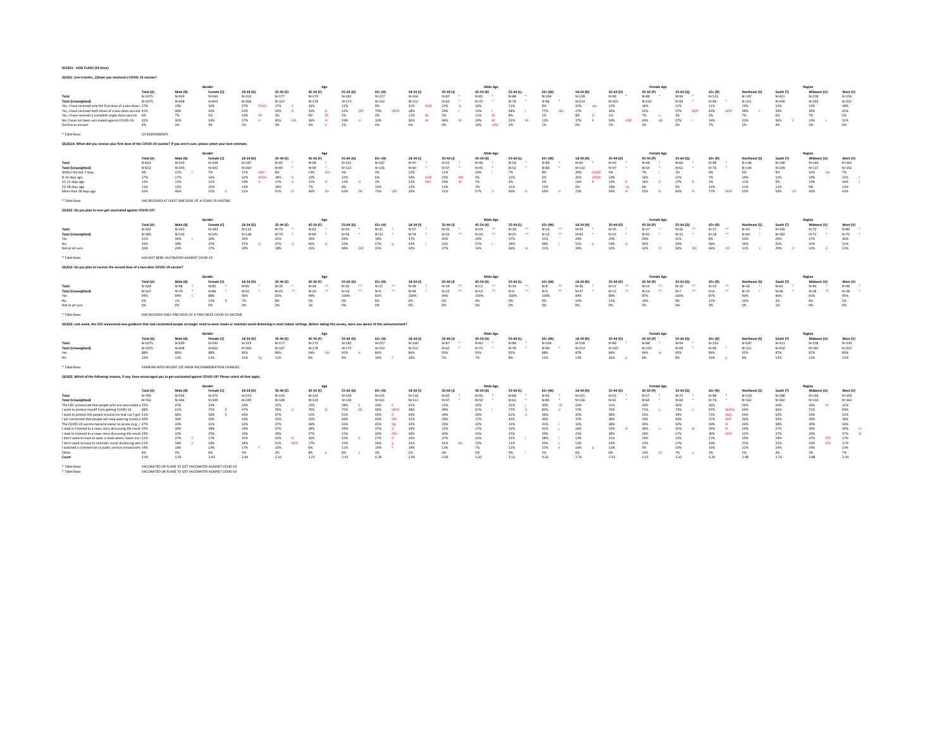QS2Q1: [res transfer\_1]Have you received a COVID-19 vaccine?

|                                                                                                                                                                                                                                |                          |                                          |                                                                                                                  |                                         |                                          |                                            |                         |                                             |                        |                                             | Male Age                                |                                     |                                          |                    |                                        | <b>Female Age</b>                          |                                     |                                     |                            |                  | Region                           |                        |
|--------------------------------------------------------------------------------------------------------------------------------------------------------------------------------------------------------------------------------|--------------------------|------------------------------------------|------------------------------------------------------------------------------------------------------------------|-----------------------------------------|------------------------------------------|--------------------------------------------|-------------------------|---------------------------------------------|------------------------|---------------------------------------------|-----------------------------------------|-------------------------------------|------------------------------------------|--------------------|----------------------------------------|--------------------------------------------|-------------------------------------|-------------------------------------|----------------------------|------------------|----------------------------------|------------------------|
|                                                                                                                                                                                                                                | Total (A)                | Male (B)                                 | Female (C)<br>N=540                                                                                              | 18-34 (D)                               | 35-44 (E)<br>$N = 177$                   | 45-54 (F)<br>$N = 170$                     | 55-64 (G)<br>N=182      | $65+ (H)$<br>Na227                          | $18-34(1)$             | 35-44 (J)<br>$N = R7$                       | 45-54 (K)                               | 55-64 (L)                           | $65+$ (M)                                | 18-34 (N)<br>N=158 | 35-44 (0)<br>$Ne=90$                   | 45-54 (P)                                  | 55-64 (Q)                           | $65+$ $(R)$                         | Northeast (S)              | South (T)        | Midwest (U)                      | West (V)               |
| Total<br><b>Total (Unweighted</b>                                                                                                                                                                                              | $N = 1075$<br>$N = 1075$ | $N = 509$<br>$N = 448$                   | $N = 603$                                                                                                        | Na219<br>N=366                          | $N = 167$                                | $N = 178$                                  | $N = 172$               | $N = 192$                                   | $N = 160$<br>$N = 152$ | $N = 62$                                    | $N = 82$<br>$N = 75$                    | $N = 9.9$<br>$N=78$                 | $N = 10.4$<br>N=96                       | $N = 214$          | $N = 105$                              | $N = 88$<br>$N = 103$                      | $N = 9.4$<br>N=94                   | $N=122$<br>N=96                     | $N=187$<br>$N = 211$       | Na411<br>N=450   | $N = 21R$<br>$N = 192$           | $N = 259$<br>$N = 222$ |
| Yes, I have received only the first dose of a two-dose · 17%                                                                                                                                                                   |                          | 19%                                      | 16%                                                                                                              | 27%<br>EFGH                             | 17%                                      | 16%                                        | 11%                     | 9%                                          | 31%<br>KIM             | 22%<br>$\blacksquare$                       | 16%                                     | 11%                                 | 8%                                       | 22%<br>ogr         | 12%                                    | 16%                                        | 11%                                 | 11%                                 | 19%                        | 15%              | 19%                              | 18%                    |
| Yes. I have received both doses of a two-dose vaccine 41%                                                                                                                                                                      |                          | 40%                                      | 42%                                                                                                              | 22%                                     | 34%<br>D                                 | 33%<br><b>n</b>                            | 52%<br>DEI              | 70%<br>DEEG                                 | 18%                    | 34%                                         | 33%                                     | 48%                                 | 77%<br>TIKI                              | 27%                | 34%                                    | 32%                                        | 57%<br>NOS                          | 63%                                 | 48%                        | 39%              | 39%                              | 41%                    |
| Yes, I have received a complete single-dose vaccine. 6%<br>No. I have not been vaccinated against COVID-19. 32%                                                                                                                |                          | 7%<br>30%                                | 5%<br>34%                                                                                                        | 10%<br><b>EH</b><br>37%<br>$\mathbf{H}$ | 3%<br><b>GH</b><br>45%                   | 9%<br>Eh<br>36%<br><b>H</b>                | 5%<br>29%<br>м          | 3%<br>14%                                   | 11%<br>36%             | 5%<br>40%<br>w                              | 11%<br><b>M</b><br>29%<br><b>M</b>      | $8\%$<br>3.7%<br>M                  | 1%<br>13%                                | $8\%$<br>37%       | 1%<br>50%<br><b>DOR</b>                | 7%<br>$\circ$<br>43%<br><b>nR</b>          | 3%<br>27%                           | 5%<br>14%                           | 7%<br>23%                  | 6%<br>36%        | $7\%$<br>33%                     | 5%<br>21%              |
| Decline to answer                                                                                                                                                                                                              | 4%                       | 3%                                       | 4%                                                                                                               | 5%                                      | 2%                                       | 6%                                         | 2%                      | 4%                                          | 4%                     | n%                                          | 10%<br><b>HIM</b>                       | 7%                                  | 1%                                       | 6%                 | 3%                                     | 2%                                         | 2%                                  | $7\%$                               | 3%                         | 4%               | $3\%$                            | 6%                     |
|                                                                                                                                                                                                                                |                          |                                          |                                                                                                                  |                                         |                                          |                                            |                         |                                             |                        |                                             |                                         |                                     |                                          |                    |                                        |                                            |                                     |                                     |                            |                  |                                  |                        |
| * Table Raser                                                                                                                                                                                                                  | <b>LIS RESPONDENTS</b>   |                                          |                                                                                                                  |                                         |                                          |                                            |                         |                                             |                        |                                             |                                         |                                     |                                          |                    |                                        |                                            |                                     |                                     |                            |                  |                                  |                        |
| QS2Q1A: When did you receive your first dose of the COVID-19 vaccine? If you aren't sure, please select your best estimate.                                                                                                    |                          |                                          |                                                                                                                  |                                         |                                          |                                            |                         |                                             |                        |                                             |                                         |                                     |                                          |                    |                                        |                                            |                                     |                                     |                            |                  |                                  |                        |
|                                                                                                                                                                                                                                |                          |                                          | Gender                                                                                                           |                                         |                                          | Age                                        |                         |                                             |                        |                                             | Male Age                                |                                     |                                          |                    |                                        | <b>Female Age</b>                          |                                     |                                     |                            |                  | Region                           |                        |
|                                                                                                                                                                                                                                | Total (A)                | Male (R)                                 | Female (C)                                                                                                       | 18-34 (D)                               | 35.44 (F)                                | 45-54 (F)                                  | 55-64 (6)               | $65 + 111$                                  | $18-34(1)$             | 35-44 (J)                                   | 45-54 (K)                               | 55.64 (1)                           | $65 + 1M$                                | 18-34 (N)          | 35-44 (0)                              | 45-54 (P)                                  | 55.64 (0)                           | $65 + 181$                          | Northeast (S)              | South (T)        | Midwest (1)                      | West (V)               |
| Total                                                                                                                                                                                                                          | N=691                    | N=339                                    | $N = 338$                                                                                                        | $N = 187$                               | N=95                                     | $N = 98$                                   | $N = 125$               | $N = 187$                                   | N=97                   | $N=52$                                      | $N = 45$                                | $N = 58$                            | $N = 89$                                 | N=90               | $N = 43$                               | $N = 48$                                   | N=66                                | N=98                                | $N = 140$                  | $N = 248$        | $N = 140$                        | $N = 164$              |
| <b>Total (Unweighted</b><br>Within the last 7 days                                                                                                                                                                             | N=652<br>9%              | $N = 295$<br>12%                         | $N = 342$<br>7%                                                                                                  | $N = 200$<br><b>CGH</b>                 | $N=84$<br>8%                             | $N = 99$<br>14%<br><b>GH</b>               | $N = 113$<br>4%         | $N = 156$<br>4%                             | N=90<br>15%            | $N=37$<br>11%                               | $N = 45$<br>20%                         | $N=52$<br>7%                        | $N = 80$<br>8%                           | $N = 110$<br>OpOR  | $N=47$<br>4%                           | N=54                                       | $N=61$<br>1%                        | $N=76$<br>0%                        | $N = 144$<br>6%            | $N = 249$<br>9%  | $N = 117$<br>16%<br>Sty          | $N = 142$<br>7%        |
| 8-14 days ago                                                                                                                                                                                                                  | 17%                      | 17%                                      | 16%                                                                                                              | 17%<br>32%<br>EFGH                      | 18%                                      | 13%                                        | 12%                     | 6%                                          | 30%<br>KLM             | 25%<br>kM                                   | 9%                                      | 12%                                 | 6%                                       | 20%<br>35%<br>OPQR | 10%                                    | 7%<br>16%                                  | 11%                                 | $7\%$                               | 19%                        | 12%              | 19%                              | 21%                    |
| 15-21 days ago                                                                                                                                                                                                                 | 12%                      | 12%                                      | 12%                                                                                                              | 19%                                     | 17%<br><b>H</b>                          | 11%                                        | 13%<br>$\mathbf{H}$     | 2%                                          | 22%<br>KIM             | 19%<br>M                                    | 7%                                      | 9%                                  | 7%                                       | 16%                | 14%<br>R                               | 16%                                        | 17%                                 | $2\%$                               | 11%                        | 9%               | 14%                              | 16%                    |
| 22-28 days ago                                                                                                                                                                                                                 | 11%                      | 13%                                      | 10%                                                                                                              | 10%                                     | 16%                                      | 7%                                         | 8%                      | 15%                                         | 13%                    | 13%                                         | 7%                                      | 12%                                 | 15%                                      | 6%                 | 18%<br>na                              | 6%                                         | 5%                                  | 14%                                 | 11%                        | 12%              | 9%                               | 13%                    |
| More than 28 days ago                                                                                                                                                                                                          | 50%                      | 46%                                      | 55%                                                                                                              | 21%                                     | 41%<br>$\mathbf{D}$                      | 56%<br>De                                  | 63%<br>DE               | 73%<br>DEF                                  | 20%                    | 31%                                         | 57%                                     | 60%                                 | 69%                                      | 23%                | 54%<br>N                               | 55%<br>N                                   | 65%                                 | 77%<br><b>NOP</b>                   | 53%                        | 59%<br><b>UV</b> | 42%                              | 43%                    |
| * Table Base:                                                                                                                                                                                                                  |                          |                                          | HAS RECEIVED AT LEAST ONE DOSE OF A COVID-19 VACCINE                                                             |                                         |                                          |                                            |                         |                                             |                        |                                             |                                         |                                     |                                          |                    |                                        |                                            |                                     |                                     |                            |                  |                                  |                        |
| QS2Q2: Do you plan to ever get vaccinated against COVID-19?                                                                                                                                                                    |                          |                                          |                                                                                                                  |                                         |                                          |                                            |                         |                                             |                        |                                             |                                         |                                     |                                          |                    |                                        |                                            |                                     |                                     |                            |                  |                                  |                        |
|                                                                                                                                                                                                                                |                          |                                          | Gender                                                                                                           |                                         |                                          |                                            |                         |                                             |                        |                                             | Male Age                                |                                     |                                          |                    |                                        | <b>Female Age</b>                          |                                     |                                     |                            |                  |                                  |                        |
|                                                                                                                                                                                                                                | Total (A)                | Male (B)                                 | Female (C)                                                                                                       | 18-34 (D)                               | 35-44 (E)                                | 45-54 (F)                                  | 55-64 (G)               | 65+ (H)                                     | $18-34(1)$             | 35-44 (J)                                   | 45-54 (K)                               | 55-64 (L)                           | $65 + (M)$                               | 18-34 (N)          | 35-44 (0)                              | 45-54 (P)                                  | 55-64 (0)                           | $65 + (R)$                          | Northeast (S)              | South (T)        | Region<br>Midwest (U)            | West (V)               |
| Total                                                                                                                                                                                                                          | N=342                    | $N = 155$                                | $N = 183$                                                                                                        | $N = 116$                               | $N = 79$                                 | $N = 62$                                   | $N = 54$                | $N = 31$                                    | $N=57$                 | $N = 35$                                    | $N = 24$                                | $N=28$<br>$\bullet\bullet$          | $N = 14$                                 | $N=59$             | $N = 45$                               | $N = 37$                                   | $N = 26$                            | $N=17$<br>$\overline{\phantom{a}}$  | $N=42$                     | $N = 148$        | $N=72$                           | $N = 80$               |
| <b>Total (Unweighted</b>                                                                                                                                                                                                       | N=385                    | $N = 139$                                | Ne <sub>241</sub>                                                                                                | $N = 148$                               | $N = 79$                                 | $N = 69$                                   | $N = 56$                | $N = 33$                                    | $N = 54$               | ÷<br>$N=24$                                 | $\bullet\bullet$<br>$N = 24$            | $\ddot{\phantom{1}}$<br>$N=25$      | $\ddot{\phantom{1}}$<br>$N=15$           | N=94               | $N=55$                                 | Nu45<br>٠                                  | $N=31$                              | $N=18$<br>$\ddot{\phantom{1}}$      | $N = 60$                   | $N = 182$        | Na22<br>٠                        | $N=70$                 |
| Yes<br>No                                                                                                                                                                                                                      | 31%                      | 36%<br>39%                               | 26%                                                                                                              | 33%                                     | 35%<br>G                                 | 29%<br>G                                   | 29%                     | 18%                                         | 37%                    | 42%                                         | 29%                                     | 37%<br>18%                          | 31%                                      | 29%                | 29%<br>$\circ$                         | 29%                                        | 21%                                 | 8%                                  | 33%                        | 29%              | 27%                              | 36%                    |
| Not at all sure                                                                                                                                                                                                                | 43%<br>26%               | 24%                                      | 47%<br>27%                                                                                                       | 47%<br>20%                              | 47%<br>18%                               | 46%<br>25%                                 | 23%<br>48%<br>DEF       | 47%<br>×<br>35%                             | 43%<br>20%             | 32%<br>27%                                  | 57%<br>14%                              | 46%<br><b>IR</b>                    | 49%<br>21%                               | 51%<br>20%         | 59%<br>12%                             | 39%<br>32%<br>$\bullet$                    | 29%<br>50%<br><b>NO</b>             | 46%<br>46%<br>nO                    | 36%<br>31%<br>$\mathbf{v}$ | 42%<br>29%       | 41%<br>32%<br>v                  | 51%<br>13%             |
| * Table Base:                                                                                                                                                                                                                  |                          | HAS NOT BEEN VACCINATED AGAINST COVID-19 |                                                                                                                  |                                         |                                          |                                            |                         |                                             |                        |                                             |                                         |                                     |                                          |                    |                                        |                                            |                                     |                                     |                            |                  |                                  |                        |
|                                                                                                                                                                                                                                |                          |                                          |                                                                                                                  |                                         |                                          |                                            |                         |                                             |                        |                                             |                                         |                                     |                                          |                    |                                        |                                            |                                     |                                     |                            |                  |                                  |                        |
| QS2Q3: Do you plan to receive the second dose of a two-dose COVID-19 vaccine?                                                                                                                                                  |                          |                                          |                                                                                                                  |                                         |                                          |                                            |                         |                                             |                        |                                             |                                         |                                     |                                          |                    |                                        |                                            |                                     |                                     |                            |                  |                                  |                        |
|                                                                                                                                                                                                                                |                          |                                          | Gender                                                                                                           |                                         |                                          |                                            |                         |                                             |                        |                                             | Male Age                                |                                     |                                          |                    |                                        | <b>Female Age</b>                          |                                     |                                     |                            |                  | Region                           |                        |
|                                                                                                                                                                                                                                | Total (A)                | Male (B)                                 | Female (C)                                                                                                       | 18-34 (D)                               | 35-44 (E)                                | 45-54 (F)<br>$\ddot{\phantom{1}}$          | 55-64 (G)               | 65+ (H)                                     | 18-34 (I)              | 35-44 (J)<br>$\ddot{\phantom{1}}$           | 45-54 (K)                               | 55.64 (1)                           | $65+$ (M)<br>$\bullet\bullet$            | 18-34 (N)          | 35-44 (0)<br>$\ddot{\phantom{1}}$      | 45-54 (P)                                  | 55-64 (0)                           | $65+$ $(R)$<br>$\ddot{\phantom{1}}$ | Northeast (S)              | South (T)        | Midwest (U)                      | West (V)               |
| Total<br><b>Total (Unweighted</b>                                                                                                                                                                                              | $N = 184$<br>N=167       | $N = 98$<br>$N = 79$                     | $N = 85$<br>$N = R6$                                                                                             | N=85<br>Na91                            | $N = 30$<br>$\bullet\bullet$<br>$N = 25$ | $N=28$<br>$\ddot{\phantom{1}}$<br>$N = 26$ | $N=20$<br>×<br>$N = 16$ | $N = 21$<br>$\ddot{\phantom{a}}$<br>$N = 9$ | $N=49$<br>NoA4         | $N=19$<br>$\ddot{\phantom{1}}$<br>$N = 1.3$ | $N = 1.3$<br>$\bullet\bullet$<br>$N=12$ | $N = 10$<br>$\bullet\bullet$<br>N=9 | $N=8$<br>$\ddot{\phantom{1}}$<br>$N = 3$ | $N=36$<br>$N = 47$ | $N=11$<br>$\bullet\bullet$<br>$N = 12$ | $N = 1.4$<br>$\bullet\bullet$<br>$N = 1.4$ | N=10<br>$\ddot{\phantom{1}}$<br>NnT | $N=13$<br>$\bullet\bullet$<br>Na6   | $N = 36$<br>$N = 37$       | N=61<br>N=64     | NadO<br>$\bullet\bullet$<br>Na28 | NoA6<br>$N = 3R$       |
| Yes                                                                                                                                                                                                                            | 94%                      | 99%                                      | 88%                                                                                                              | 93%                                     | 92%                                      | 94%                                        | 100%                    | 92%                                         | 100%                   | 94%                                         | 100%                                    | 100%                                | 100%                                     | 84%                | 89%                                    | 87%                                        | 100%                                | 87%                                 | 90%                        | 96%              | 92%                              | 95%                    |
| No                                                                                                                                                                                                                             | 6%                       | 1%                                       | 12%<br>×                                                                                                         | 7%                                      | 8%                                       | 5%                                         | 0%                      | 8%                                          | 0%                     | 6%                                          | 0%                                      | 0%                                  | 0%                                       | 16%                | 11%                                    | 10%                                        | 0%                                  | 13%                                 | 10%                        | 3%               | $8\%$                            | 5%                     |
| Not at all sure                                                                                                                                                                                                                | 0%                       | CON.                                     | 0%                                                                                                               | n%                                      | 0%                                       | 1%                                         | 0%                      | 0%                                          | 0%                     | 0%                                          | 0%                                      | 0%                                  | 0%                                       | 0%                 | 0%                                     | 3%                                         | 0%                                  | 0%                                  | 0%                         | 1%               | 0%                               | 0%                     |
| * Table Base:                                                                                                                                                                                                                  |                          |                                          | HAS RECEIVED ONLY ONE DOSE OF A TWO-DOSE COVID-19 VACCINE                                                        |                                         |                                          |                                            |                         |                                             |                        |                                             |                                         |                                     |                                          |                    |                                        |                                            |                                     |                                     |                            |                  |                                  |                        |
| Q52Q4: Last week, the CDC announced new guidance that said vaccinated people no longer need to wear masks or maintain social distancing in most indoor settings. Before taking this survey, were you aware of this announcemen |                          |                                          |                                                                                                                  |                                         |                                          |                                            |                         |                                             |                        |                                             |                                         |                                     |                                          |                    |                                        |                                            |                                     |                                     |                            |                  |                                  |                        |
|                                                                                                                                                                                                                                |                          |                                          |                                                                                                                  |                                         |                                          |                                            |                         |                                             |                        |                                             |                                         |                                     |                                          |                    |                                        |                                            |                                     |                                     |                            |                  |                                  |                        |
|                                                                                                                                                                                                                                | Total (A)                | Male (B)                                 | Female (C)                                                                                                       | 18-34 (D)                               | 35-44 (E)                                | 45-54 (F)                                  | 55-64 (G)               | 65+ (H)                                     | $18-34(1)$             | 35-44 (J)                                   | Male Ag<br>45-54 (K)                    | 55-64 (L)                           | $65 + (M)$                               | 18-34 (N)          | 35-44 (0)                              | Female Ag<br>45-54 (P)                     | 55-64 (0)                           | $65 + (R)$                          | Northeast (S)              | South (T)        | Region<br>Midwest (U)            | West (V)               |
| Total                                                                                                                                                                                                                          | $N = 1075$               | N=509                                    | N=540                                                                                                            | $N = 319$                               | $N = 177$                                | $N = 170$                                  | $N = 182$               | Na227                                       | $N = 160$              | $N = R7$                                    | $N = R2$                                | $N = 88$                            | Na104                                    | N=158              | $N = 90$                               | N=88                                       | N=94                                | $N = 122$                           | $N = 187$                  | Na411            | $N = 218$                        | Na259                  |
| <b>Total (Unweighted</b>                                                                                                                                                                                                       | $N = 1075$               | $N = 448$                                | $N = 603$                                                                                                        | N=366                                   | $N = 167$                                | $N = 178$                                  | $N = 172$               | $N = 192$                                   | $N = 152$              | $N = 62$                                    | $N=75$                                  | $N=78$                              | N=96                                     | $N = 214$          | $N = 105$                              | $N = 103$                                  | N=94                                | N=96                                | $N = 211$                  | N=450            | $N = 192$                        | $N = 222$              |
| Yes                                                                                                                                                                                                                            | 88%                      | 89%                                      | 88%                                                                                                              | 85%                                     | 89%                                      | 94%<br>DH                                  | 92%                     | 86%                                         | 84%                    | 93%                                         | 93%                                     | 92%                                 | 88%                                      | 87%                | 84%                                    | 94%<br>or.                                 | 92%                                 | 84%                                 | 92%                        | 87%              | 87%                              | 89%                    |
| No                                                                                                                                                                                                                             | 12%                      | 11%                                      | 12%                                                                                                              | 15%<br>Fg.                              | 11%                                      | 6%                                         | $8\%$                   | 14%                                         | 16%                    | 7%                                          | 7%                                      | 8%                                  | 12%                                      | 13%                | 16%<br>$\circ$                         | 6%                                         | 8%                                  | 16%<br>$\blacksquare$               | 8%                         | 13%              | 13%                              | 11%                    |
| * Table Base:                                                                                                                                                                                                                  |                          |                                          | FAMILIAR WITH RECENT CDC MASK RECOMMENDATION CHANGES                                                             |                                         |                                          |                                            |                         |                                             |                        |                                             |                                         |                                     |                                          |                    |                                        |                                            |                                     |                                     |                            |                  |                                  |                        |
| QS2Q5: Which of the following reasons, if any, have encouraged you to get vaccinated against COVID-19? Please select all that apply.                                                                                           |                          |                                          |                                                                                                                  |                                         |                                          |                                            |                         |                                             |                        |                                             |                                         |                                     |                                          |                    |                                        |                                            |                                     |                                     |                            |                  |                                  |                        |
|                                                                                                                                                                                                                                |                          |                                          | Gender                                                                                                           |                                         |                                          |                                            |                         |                                             |                        |                                             | Male Ag                                 |                                     |                                          |                    |                                        | Female Ag                                  |                                     |                                     |                            |                  | Region                           |                        |
|                                                                                                                                                                                                                                | Total (A)                | Male (R)                                 | Female (C)                                                                                                       | 18-34 (D)                               | 35-44 (E)                                | 45-54 (F)                                  | 55-64 (6)               | 65+ (H)                                     | $18-34(1)$             | 35-44 (J)                                   | 45-54 (K)                               | 55.64 (1)                           | $65 + 1M$                                | 18-34 (N)          | 35-44 (0)                              | 45-54 (P)                                  | 55-64 (0)                           | $65 + (R)$                          | Northeast (S)              | South (T)        | Midwest (11)                     | West (V)               |
| Total                                                                                                                                                                                                                          | $N = 784$                | $N = 394$                                | $N = 375$                                                                                                        | $N = 219$                               | $N = 120$                                | $N = 114$                                  | $N = 140$               | $N = 191$                                   | $N = 118$              | $N = 65$                                    | $N = 56$                                | $N = 68$                            | $N = 93$                                 | $N = 101$          | $N = 55$                               | $N = 57$                                   | $N=72$                              | $N = 98$                            | $N = 150$                  | $N = 288$        | N=156                            | $N = 190$              |
| <b>Total (Unweighted)</b>                                                                                                                                                                                                      | $N = 762$                | $N = 346$<br>27%                         | $N = 399$<br>23%                                                                                                 | $N = 249$<br>24%                        | $N = 108$<br>15%                         | $N = 114$<br>23%                           | $N = 130$<br>28%        | $N = 161$<br>33%                            | $N = 113$<br>25%       | $N = 47$<br>15%                             | $N = 50$<br>20%                         | $N = 61$<br>31%                     | N=85<br>40%<br><b>Uk</b>                 | $N = 136$<br>22%   | $N = 61$<br>15%                        | $N = 64$<br>26%                            | N=69<br>26%                         | $N=76$<br>26%                       | $N = 162$<br>26%           | $N = 302$<br>24% | $N = 134$<br>3.4%<br><b>HV</b>   | $N = 164$<br>21%       |
| The CDC announced that people who are vaccinated a 25%<br>I want to protect myself from getting COVID-19.                                                                                                                      | 68%                      | 61%                                      | 75%<br>Æ                                                                                                         | 47%                                     | 59%                                      | 70%                                        | 75%<br>DE               | 90%<br>DEFG                                 | 38%                    | 49%                                         | 67%                                     | 77%                                 | 83%<br>m                                 | 57%                | 70%                                    | 73%                                        | 73%                                 | 97%<br><b>NOPO</b>                  | 64%                        | 66%              | 71%                              | 69%                    |
| I want to protect the people around me that can't get 51%                                                                                                                                                                      |                          | 46%                                      | 56%                                                                                                              | 44%                                     | 47%                                      | 52%                                        | 55%                     | 59%<br>$\mathbf{D}$                         | 43%                    | 39%                                         | 50%                                     | 61%                                 | 46%                                      | 45%                | 58%                                    | 53%                                        | 49%                                 | 72%<br><b>NpQ</b>                   | 44%                        | 52%              | 54%                              | 55%                    |
| I am concerned that people will stop wearing masks e 39%                                                                                                                                                                       |                          | 36%                                      | 43%                                                                                                              | 3.4%                                    | 33%                                      | 35%                                        | 44%                     | 49%<br><b>DEf</b>                           | 32%                    | 28%                                         | 37%                                     | 45%                                 | 40%                                      | 37%                | 38%                                    | 34%                                        | 44%                                 | 57%<br>NoP                          | 36%                        | 43%              | 39%                              | 38%                    |
| The COVID-19 vaccine became easier to access (e.g., 1 37%                                                                                                                                                                      |                          | 33%                                      | 41%                                                                                                              | 32%                                     | 37%                                      | 36%                                        | 33%                     | 45%<br>De                                   | 33%                    | 35%                                         | 32%                                     | 23%                                 | 41%                                      | 32%                | 38%                                    | 39%                                        | 42%                                 | 50%                                 | 34%                        | 38%              | 39%                              | 34%                    |
| I read or listened to a news story discussing the result 29%                                                                                                                                                                   |                          | 30%                                      | 28%                                                                                                              | 24%                                     | 27%                                      | 28%                                        | 29%                     | 37%<br>D                                    | 30%                    | 22%                                         | 27%                                     | 26%                                 | 41%                                      | 16%                | 33%                                    | 30%                                        | 31%                                 | 34%<br>- 63<br>NPO.                 | 24%                        | 27%              | 30%                              | 36%                    |
| I read or listened to a news story discussing the result 29%<br>I don't want to have to wear a mask when I leave my   22%                                                                                                      |                          | 32%<br>27%                               | 25%<br>17%                                                                                                       | 26%<br>15%                              | 29%<br>24%                               | 27%<br>20%                                 | 21%<br>23%              | 40%<br><b>DfG</b><br>27%<br>$\overline{D}$  | 30%<br>16%             | 30%<br>27%                                  | 35%<br>21%                              | 25%<br>32%                          | 39%<br>38%                               | 21%<br>13%         | 28%<br>21%                             | 20%<br>19%                                 | 17%<br>15%                          | 40%<br>17%                          | 22%<br>19%                 | 27%<br>18%       | 29%<br>37%<br><b>STV</b>         | 37%<br>17%             |
| I don't want to have to maintain social distancing whr 21%                                                                                                                                                                     |                          | 26%                                      | 16%                                                                                                              | 18%                                     | 31%<br><b>DEG</b>                        | 17%                                        | 15%                     | 26%<br>×                                    | 22%                    | 41%<br>m                                    | 22%                                     | 12%                                 | 33%                                      | 13%                | 19%                                    | 13%                                        | 17%                                 | 19%                                 | 15%                        | 21%              | 33%<br><b>STV</b>                | 17%                    |
| I watched a commercial or public service announcem 14%                                                                                                                                                                         |                          | 16%                                      | 13%                                                                                                              | 17%                                     | 13%                                      | 6%                                         | 11%                     | 19%                                         | 18%                    | 13%                                         | 7%                                      | 12%                                 | 22%                                      | 16%                | 12%                                    | 5%                                         | 10%                                 | 16%                                 | 12%                        | 14%              | 19%                              | 13%                    |
| Other                                                                                                                                                                                                                          | 4%                       | 4%                                       | 6%                                                                                                               | 4%                                      | 2%                                       | $8\%$                                      | $8\%$<br>$\epsilon$     | 3%                                          | 2%                     | 4%                                          | 2%                                      | 9%                                  | 2%                                       | 6%                 | 0%                                     | 13%<br>Or                                  | $7\%$                               | 3%                                  | 5%                         | 4%               | 3%                               | 7%                     |
| Count                                                                                                                                                                                                                          | 3.40                     | 3.39                                     | 3.43                                                                                                             | 2.84                                    | 3.16                                     | 3.23                                       | 3.42                    | 4.28                                        | 290                    | 3.03                                        | 3.20                                    | 3.53                                | 4.26                                     | 2.76               | 3.33                                   | 3.25                                       | 3.32                                | 4.29                                | 2.98                       | 3.33             | 3.88                             | 3.44                   |
| * Table Base:<br>* Table Raser                                                                                                                                                                                                 |                          |                                          | VACCINATED OR PLANS TO GET VACCINATED AGAINST COVID-19<br>VACCINATED OR PLANS TO GET VACCINATED AGAINST COVID-19 |                                         |                                          |                                            |                         |                                             |                        |                                             |                                         |                                     |                                          |                    |                                        |                                            |                                     |                                     |                            |                  |                                  |                        |
|                                                                                                                                                                                                                                |                          |                                          |                                                                                                                  |                                         |                                          |                                            |                         |                                             |                        |                                             |                                         |                                     |                                          |                    |                                        |                                            |                                     |                                     |                            |                  |                                  |                        |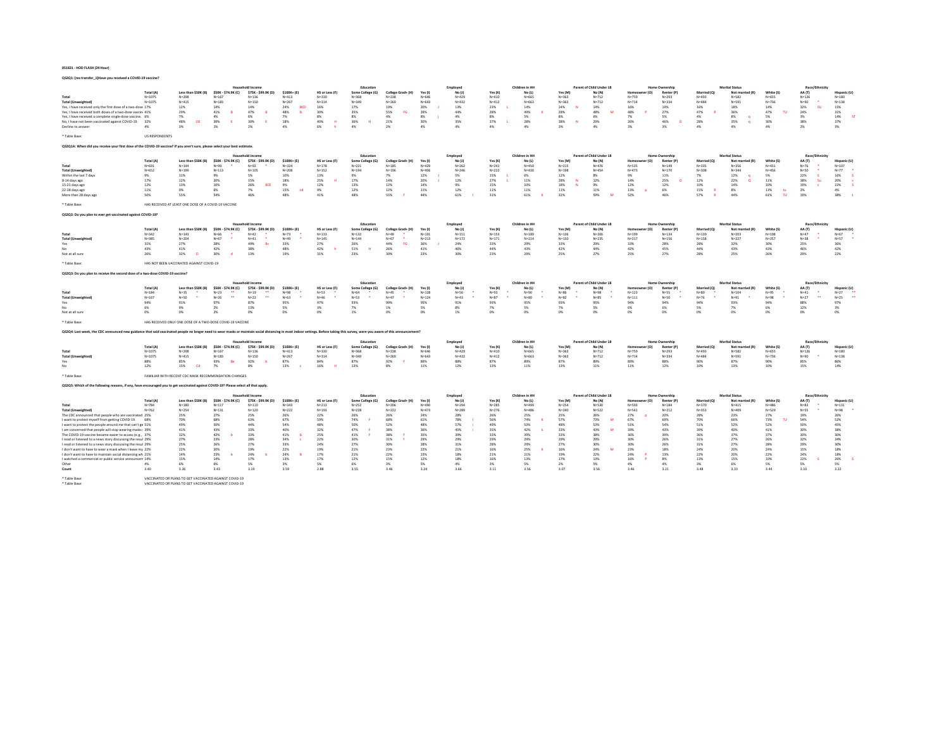QS2Q1: [res transfer\_1]Have you received a COVID-19 vaccine?

|                                                                                                                                                                                                                                |                          |                                                           |                                 | Household Income                               |                          |                             | Education                     |                                |                        | Employee               |                        | Children in HH         |                            | Parent of Child Under 18 |                            | Home Ownership          |                          | <b>Marital Status</b>        |                         | Race/Ethnicity                          |                                  |
|--------------------------------------------------------------------------------------------------------------------------------------------------------------------------------------------------------------------------------|--------------------------|-----------------------------------------------------------|---------------------------------|------------------------------------------------|--------------------------|-----------------------------|-------------------------------|--------------------------------|------------------------|------------------------|------------------------|------------------------|----------------------------|--------------------------|----------------------------|-------------------------|--------------------------|------------------------------|-------------------------|-----------------------------------------|----------------------------------|
|                                                                                                                                                                                                                                | Total (A)                | Less than \$50K (B)                                       | \$50K - \$74.9K (C)             | \$75K - \$99.9K (D)                            | $$100K + (E)$            | HS or Less (F)              | Some College (G)              | College Grad+ (H)              | Yes (I                 | No (J)                 | Yes (K                 | No (L)                 | Yes (M)                    | No (N)                   | r (O)                      | Renter (P               | Married (O)              | Not married (R)              | White (S)               | AA (T)                                  | Hispanic (L                      |
| Total<br><b>Total (Unweighted)</b>                                                                                                                                                                                             | $N = 1075$<br>$N = 1075$ | $N = 29R$<br>$N = 415$                                    | $N = 167$<br>$N = 183$          | $N = 136$<br>$N=150$                           | $N = 413$<br>$N = 267$   | $N = 330$<br>$N = 314$      | $N = 368$<br>$N = 349$        | $N = 228$<br>$N = 269$         | $N = 646$<br>$N = 643$ | $N = 429$<br>$N = 432$ | $N = 410$<br>$N = 412$ | N=665<br>$N = 663$     | $N = 363$<br>$N = 363$     | $N = 712$<br>$N = 712$   | $N = 759$<br>$N = 714$     | $N=293$<br>$N = 334$    | $N = 493$<br>$N = 484$   | $N = 582$<br>$N = 591$       | $N = 655$<br>$N = 736$  | $N = 126$<br>$N = 90$                   | $N=1.80$<br>$N = 138$            |
| Yes, I have received only the first dose of a two-dose 17%                                                                                                                                                                     |                          | 12%                                                       | 14%                             | 14%                                            | <b>BCD</b><br>24%        | 16%                         | 17%                           | 19%                            | 20%                    | 13%                    | 23%                    | 14%                    | 24%<br>$^{12}$             | 14%                      | 16%                        | 19%                     | 16%                      | 18%                          | 14%                     | 32%<br><b>CO</b>                        | 15%                              |
| Yes. I have received both doses of a two-dose vaccin 41%                                                                                                                                                                       |                          | 29%                                                       | 41%                             | 47%                                            | 48%                      | 30%                         | 35%                           | 55%<br>EG                      | 39%                    | 44%                    | 28%                    | 49%                    | 28%                        | 48%                      | 48%                        | 27%                     | 47%                      | 36%                          | 47%<br>m                | 24%                                     | 31%                              |
| Yes, I have received a complete single-dose vaccine. 6%                                                                                                                                                                        |                          | 7%<br>48%<br>DE                                           | 4%<br>39%                       | 6%<br>30%                                      | 7%<br>18%                | 8%<br>$\mathbf{H}$          | $8\%$<br>36%                  | 4%<br>21%                      | 8%                     | 4%<br>35%              | 8%<br>37%              | $5\%$<br>28%           | 8%<br>$\mathbf{M}$         | 6%                       | 7%<br>26%                  | 5%<br>46%               | 4%<br>28%                | 8%<br>$\alpha$               | 5%                      | 3%                                      | 14%<br>37%                       |
| No. I have not been vaccinated against COVID-19. 32%<br>Decline to answer                                                                                                                                                      | 4%                       | $3\%$                                                     | 1%                              | $2\%$                                          | 4%                       | 40%<br>6%<br>h              | 4%                            | $2\%$                          | 30%<br>4%              | 4%                     | 4%                     | 4%                     | 38%<br>$3\%$               | 29%<br>4%                | $3\%$                      | $3\%$                   | 4%                       | 35%<br>$\alpha$<br>4%        | 30%<br>4%               | 38%<br>$2\%$                            | 3%                               |
|                                                                                                                                                                                                                                |                          |                                                           |                                 |                                                |                          |                             |                               |                                |                        |                        |                        |                        |                            |                          |                            |                         |                          |                              |                         |                                         |                                  |
| * Table Base:                                                                                                                                                                                                                  | <b>US RESPONDENTS</b>    |                                                           |                                 |                                                |                          |                             |                               |                                |                        |                        |                        |                        |                            |                          |                            |                         |                          |                              |                         |                                         |                                  |
| QS2Q1A: When did you receive your first dose of the COVID-19 vaccine? If you aren't sure, please select your best estimate.                                                                                                    |                          |                                                           |                                 |                                                |                          |                             |                               |                                |                        |                        |                        |                        |                            |                          |                            |                         |                          |                              |                         |                                         |                                  |
|                                                                                                                                                                                                                                |                          |                                                           |                                 |                                                |                          |                             |                               |                                |                        |                        |                        |                        |                            |                          |                            |                         |                          |                              |                         |                                         |                                  |
|                                                                                                                                                                                                                                |                          |                                                           |                                 | lousehold Incom                                |                          |                             | Education                     |                                |                        | Employed               |                        | Children in HF         |                            | Parent of Child Under 18 |                            | Home Ownership          |                          | <b>Marital Status</b>        |                         | Race/Ethnicity                          |                                  |
| Total                                                                                                                                                                                                                          | Total (A)<br>$N = 691$   | Less than \$50K (B)<br>$N = 144$                          | \$50K - \$74.9K (C)<br>$N = 99$ | \$75K - \$99.9K (D)<br>$N=92$                  | \$100K+ (E)<br>$N = 324$ | HS or Less (F)<br>$N = 178$ | Some College (G)<br>$N = 221$ | College Grad+ (H)<br>$N = 185$ | Yes (f)<br>$N = 429$   | No (1)<br>$N = 262$    | Yes (K)<br>$N = 241$   | No (L)<br>$N = 450$    | Yes (M)<br>$N = 215$       | No (N)<br>$N = 476$      | Homer<br>(n)<br>$N = 535$  | Renter (P)<br>$N = 149$ | Married (O)<br>$N = 335$ | Not married (R)<br>$N = 356$ | White (S)<br>$N = 431$  | AA (T)<br>$N = 76$                      | <b>Hispanic (L)</b><br>$N = 107$ |
| <b>Total (Unweighted</b>                                                                                                                                                                                                       | $N = 652$                | $N = 199$                                                 | $N = 113$                       | $N = 105$                                      | $N = 208$                | $N = 152$                   | $N = 194$                     | $N = 196$                      | $N = 406$              | $N = 246$              | $N = 222$              | $N = 430$              | $N = 198$                  | $N = 454$                | $N = 473$                  | $N = 170$               | $N = 308$                | $N = 344$                    | $N = 456$               | $N = 50$                                | $N=77$                           |
| Within the last 7 days                                                                                                                                                                                                         | 9%                       | 11%                                                       | 9%                              | 5%                                             | 10%                      | 13%                         | 9%                            | 7%                             | 12%                    | S%.                    | 15%                    | 6%                     | 12%                        | 8%                       | 9%                         | 11%                     | 7%                       | 12%                          | 5%                      | 22%<br>×                                | 16%<br>$\lambda$                 |
| 8-14 days ago                                                                                                                                                                                                                  | 17%                      | 12%                                                       | 20%                             | 15%                                            | 18%                      | 25%                         | 17%                           | 14%                            | 20%                    | 12%                    | 27%                    | 11%                    | 28%<br>N                   | 12%                      | 14%                        | 25%                     | 12%                      | 22%                          | $11\%$                  | 38%<br>-Su                              | 20%                              |
| 15-21 days ago<br>22-28 days ago                                                                                                                                                                                               | 12%<br>11%               | 13%<br>9%                                                 | 10%<br>6%                       | 26%<br><b>BCE</b><br>7%                        | 9%<br>15%<br><b>COL</b>  | 12%<br>9%                   | 13%<br>12%                    | 12%<br>12%                     | 14%<br>11%             | 9%<br>12%              | 15%<br>11%             | 10%<br>11%             | 18%<br>$\mathbf{M}$<br>11% | 9%<br>11%                | 12%<br>13%<br><b>D</b>     | 12%<br>6%               | 10%<br>15%               | 14%<br>8%                    | 10%<br>13%<br>the       | 19%<br>2%                               | 22%<br>4%                        |
| More than 28 days ago                                                                                                                                                                                                          | 50%                      | 55%                                                       | 54%                             | 46%                                            | 48%                      | 41%                         | 48%                           | 55%                            | 44%                    | 61%                    | 31%                    | 61%                    | 32%                        | 59%<br>M                 | 52%                        | 46%                     | 57%                      | 44%                          | TU.<br>61%              | 19%                                     | 38%                              |
|                                                                                                                                                                                                                                |                          |                                                           |                                 |                                                |                          |                             |                               |                                |                        |                        |                        |                        |                            |                          |                            |                         |                          |                              |                         |                                         |                                  |
| * Table Rase:                                                                                                                                                                                                                  |                          | HAS RECEIVED AT LEAST ONE DOSE OF A COVID-19 VACCINE      |                                 |                                                |                          |                             |                               |                                |                        |                        |                        |                        |                            |                          |                            |                         |                          |                              |                         |                                         |                                  |
| QS2Q2: Do you plan to ever get vaccinated against COVID-19?                                                                                                                                                                    |                          |                                                           |                                 |                                                |                          |                             |                               |                                |                        |                        |                        |                        |                            |                          |                            |                         |                          |                              |                         |                                         |                                  |
|                                                                                                                                                                                                                                |                          |                                                           |                                 |                                                |                          |                             |                               |                                |                        |                        |                        |                        |                            |                          |                            |                         |                          |                              |                         |                                         |                                  |
|                                                                                                                                                                                                                                |                          |                                                           |                                 | <b>Household Incom</b>                         |                          |                             | Education                     |                                |                        | Employee               |                        | Children in HF         |                            | Parent of Child Under 18 |                            | <b>Home Ownership</b>   |                          | <b>Marital Status</b>        |                         | Race/Ethnicity                          |                                  |
| Total                                                                                                                                                                                                                          | Total (A)<br>$N = 342$   | Less than \$50K (B)<br>$N = 143$                          | \$50K - \$74.9K (C)<br>$N = 66$ | \$75K - \$99,9K (D)<br>$N = 42$                | \$100K+ (E)<br>$N = 73$  | HS or Less (F)<br>$N = 133$ | Some College (G)<br>$N = 132$ | College Grad+ (H)<br>$N = 49$  | Yes (1)<br>$N = 191$   | No (1)<br>$N = 151$    | Yes (K)<br>$N = 153$   | $No$ (1)<br>$N = 189$  | Yes (M)<br>$N = 136$       | No (N)<br>$N = 206$      | Homeowner (O)<br>$N = 199$ | Renter (P<br>$N = 134$  | Married (O)<br>$N = 139$ | Not married (R)<br>$N = 203$ | White (S)<br>$N = 198$  | <b>44 (T)</b><br>$N = 47$               | Hispanic (U)<br>$N = 67$         |
| <b>Total (Unweighted)</b>                                                                                                                                                                                                      | $N = 385$                | $N = 204$                                                 | $N = 67$                        | $N = 41$                                       | $N = 49$                 | $N = 145$                   | $N = 144$                     | $N = 67$                       | $N = 213$              | $N = 172$              | $N = 171$              | $N = 214$              | $N = 150$                  | $N = 235$                | $N = 217$                  | $N = 156$               | $N = 158$                | $N = 227$                    | $N = 257$               | $N = 38$                                | $N = 57$                         |
| Yes                                                                                                                                                                                                                            | 31%                      | 27%                                                       | 28%                             | 49%<br>Bc                                      | 33%                      | 27%                         | 26%                           | FG<br>44%                      | 36%                    | 24%                    | 33%                    | 29%                    | 33%                        | 29%                      | 33%                        | 28%                     | 28%                      | 32%                          | 30%                     | 25%                                     | 36%                              |
| No                                                                                                                                                                                                                             | 43%                      | 41%                                                       | 42%                             | 38%                                            | 48%                      | 42%<br>ъ.                   | 51%<br>$\mathbf{H}$           | 26%                            | 41%                    | 46%                    | 44%                    | 43%                    | 42%                        | 44%                      | 42%                        | 45%                     | 44%                      | 43%                          | 43%                     | 46%                                     | 42%                              |
| Not at all sure                                                                                                                                                                                                                | 26%                      | 32%<br>$\sqrt{2}$                                         | 30%                             | 13%                                            | 19%                      | 31%                         | 23%                           | 30%                            | 23%                    | 30%                    | 23%                    | 29%                    | 25%                        | 27%                      | 25%                        | 27%                     | 28%                      | 25%                          | 26%                     | 29%                                     | 22%                              |
| * Table Base:                                                                                                                                                                                                                  |                          | HAS NOT BEEN VACCINATED AGAINST COVID-19                  |                                 |                                                |                          |                             |                               |                                |                        |                        |                        |                        |                            |                          |                            |                         |                          |                              |                         |                                         |                                  |
|                                                                                                                                                                                                                                |                          |                                                           |                                 |                                                |                          |                             |                               |                                |                        |                        |                        |                        |                            |                          |                            |                         |                          |                              |                         |                                         |                                  |
| QS2Q3: Do you plan to receive the second dose of a two-dose COVID-19 vaccine?                                                                                                                                                  |                          |                                                           |                                 |                                                |                          |                             |                               |                                |                        |                        |                        |                        |                            |                          |                            |                         |                          |                              |                         |                                         |                                  |
|                                                                                                                                                                                                                                |                          |                                                           |                                 | <b>Household Income</b>                        |                          |                             | Education                     |                                |                        | Employee               |                        | Children in HH         |                            | Parent of Child Under 18 |                            | Home Ownership          |                          | <b>Marital Status</b>        |                         | Race/Ethnicity                          |                                  |
|                                                                                                                                                                                                                                | Total (A)                | Less than \$50K (B)                                       | \$50K - \$74.9K (C)             | \$75K - \$99,9K (D)                            | \$100K+ (E)              | HS or Less (F)              | Some College (G)              | College Grad+ (H)              | Yes (I                 | No(1)                  | Yes (K                 | No (L)                 | Yes (M)                    | No (N)                   | ner (O)                    | Renter (P)              | Married (O)              | Not married (R)              | White (S)               | AA (T)                                  | Hispanic (U)                     |
| Total                                                                                                                                                                                                                          | $N = 184$                | $N = 35$<br>$N = 50$                                      | $N=23$<br>$\ddot{\phantom{1}}$  | $N=19$<br>$\overline{\phantom{a}}$<br>$N = 22$ | $N = 98$<br>$N = 63$     | $N = 53$<br>$N = 46$        | $N = 64$                      | $N = 45$<br>$N = 47$           | $N = 128$<br>$N = 124$ | $N = 56$<br>$N = 43$   | $N = 93$<br>$N = 87$   | $N = 90$               | $N = 86$                   | $N = 98$                 | $N = 123$                  | $N = 55$                | $N=80$<br>$N = 76$       | $N = 104$                    | $N = 95$<br>$N = 98$    | $N = 41$<br>. .<br>$\ddot{\phantom{1}}$ | $N=27$                           |
| <b>Total (Unweighted</b><br>Yes                                                                                                                                                                                                | $N = 167$<br>94%         | 91%                                                       | $N=26$<br>97%                   | 87%                                            | 95%                      | 97%                         | $N = 53$<br>93%               | 99%                            | 95%                    | 91%                    | 93%                    | $N=80$<br>95%          | $N = 82$<br>93%            | $N=85$<br>95%            | $N = 111$<br>94%           | $N = 50$<br>94%         | 94%                      | $N = 91$<br>93%              | 94%                     | $N=27$<br>88%                           | $N = 25$<br>97%                  |
| No                                                                                                                                                                                                                             | 6%                       | 9%                                                        | 2%                              | 13%                                            | 5%                       | 3%                          | 7%                            | $1\%$                          | 5%                     | 8%                     | 7%                     | 5%                     | 7%                         | 5%                       | 6%                         | 6%                      | 5%                       | 7%                           | 6%                      | 12%                                     | 3%                               |
| Not at all sure                                                                                                                                                                                                                | 0%                       | 0%                                                        | 2%                              | 0%                                             | 0%                       | 0%                          | 1%                            | 0%                             | O%                     | 1%                     | 0%                     | 0%                     | 0%                         | 0%                       | 0%                         | 0%                      | $0\%$                    | 0%                           | 0%                      | 0%                                      | 0%                               |
| * Table Base:                                                                                                                                                                                                                  |                          | HAS RECEIVED ONLY ONE DOSE OF A TWO-DOSE COVID-19 VACCINE |                                 |                                                |                          |                             |                               |                                |                        |                        |                        |                        |                            |                          |                            |                         |                          |                              |                         |                                         |                                  |
|                                                                                                                                                                                                                                |                          |                                                           |                                 |                                                |                          |                             |                               |                                |                        |                        |                        |                        |                            |                          |                            |                         |                          |                              |                         |                                         |                                  |
| Q52Q4: Last week, the CDC announced new guidance that said vaccinated people no longer need to wear masks or maintain social distancing in most indoor settings. Before taking this survey, were you aware of this announcemen |                          |                                                           |                                 |                                                |                          |                             |                               |                                |                        |                        |                        |                        |                            |                          |                            |                         |                          |                              |                         |                                         |                                  |
|                                                                                                                                                                                                                                |                          |                                                           |                                 | <b>Household Income</b>                        |                          |                             | Education                     |                                |                        |                        |                        | Children in HH         |                            | Parent of Child Under 18 |                            | Home Ownership          |                          | <b>Marital Status</b>        |                         | <b>Race/Ethnicity</b>                   |                                  |
|                                                                                                                                                                                                                                | Total (A)                | Less than \$50K (B)                                       | \$50K - \$74.9K (C)             | \$75K - \$99.9K (D)                            | $$100K+ (E)$             | HS or Less (F)              | Some College (G)              | College Grad+ (H)              | Yes(1)                 | Employee<br>No (J)     | Yes(K)                 | No (L)                 | Yes (M)                    | No (N)                   | (O)                        | Renter (P               | Married (Q)              | Not married (R)              | White (S)               | AA (T)                                  | <b>Hispanic (L</b>               |
| Total                                                                                                                                                                                                                          | $N = 1075$               | $N = 29R$                                                 | $N = 167$                       | $N = 136$                                      | $N = 413$                | $N = 330$                   | $N = 368$                     | $N = 238$                      | $N = 646$              | $N = 429$              | $N = 410$              | N=665                  | $N = 363$                  | $N = 712$                | $N = 759$                  | $N = 293$               | $N = 493$                | $N = 582$                    | N=655                   | $N = 126$                               | $N=1.80$                         |
| <b>Total (Unweighted)</b>                                                                                                                                                                                                      | $N = 1075$               | $N = 415$                                                 | $N = 183$                       | $N = 150$                                      | $N = 267$                | $N = 314$                   | $N = 349$                     | $N = 269$                      | $N = 643$              | $N = 432$              | $N = 412$              | $N = 663$              | $N = 363$                  | $N = 712$                | $N = 714$                  | $N = 334$               | $N = 484$                | $N = 591$                    | $N = 736$               | $N = 90$                                | $N = 138$                        |
| Yes<br>No                                                                                                                                                                                                                      | 88%<br>12%               | 85%<br>15%<br>Cd                                          | 93%<br>Be<br>7%                 | 92%<br>8%                                      | 87%<br>13%<br><b>c</b>   | 84%<br>16%<br>H             | 87%<br>13%                    | 92%<br>8%                      | 89%<br>11%             | 88%<br>12%             | 87%<br>13%             | 89%<br>11%             | 87%<br>13%                 | 89%<br>11%               | 89%<br>11%                 | 88%<br>12%              | 90%<br>10%               | 87%<br>13%                   | 90%<br>10%              | 85%<br>15%                              | 86%<br>14%                       |
|                                                                                                                                                                                                                                |                          |                                                           |                                 |                                                |                          |                             |                               |                                |                        |                        |                        |                        |                            |                          |                            |                         |                          |                              |                         |                                         |                                  |
| * Table Base                                                                                                                                                                                                                   |                          | FAMILIAR WITH RECENT CDC MASK RECOMMENDATION CHANGES      |                                 |                                                |                          |                             |                               |                                |                        |                        |                        |                        |                            |                          |                            |                         |                          |                              |                         |                                         |                                  |
| QS2Q5: Which of the following reasons, if any, have encouraged you to get vaccinated against COVID-19? Please select all that apply.                                                                                           |                          |                                                           |                                 |                                                |                          |                             |                               |                                |                        |                        |                        |                        |                            |                          |                            |                         |                          |                              |                         |                                         |                                  |
|                                                                                                                                                                                                                                |                          |                                                           |                                 |                                                |                          |                             |                               |                                |                        |                        |                        |                        |                            |                          |                            |                         |                          |                              |                         |                                         |                                  |
|                                                                                                                                                                                                                                |                          |                                                           |                                 | <b>Household Income</b>                        |                          |                             | Education                     |                                |                        | Employee               |                        | Children in HF         |                            | Parent of Child Under 18 |                            | Home Ownership          |                          | <b>Marital Status</b>        |                         | Race/Ethnicity                          |                                  |
|                                                                                                                                                                                                                                | Total (A)                | Less than \$50K (B)                                       | \$50K - \$74.9K (C)             | \$75K - \$99.9K (D)                            | $$100K+ (E)$             | HS or Less (F)              | Some College (G)              | College Grad+ (H)              | Yes (I                 | No(1)                  | Yes (K                 | No (L)                 | Yes (M                     | No (N)                   | (O)<br>Homed               | Renter (P               | Married (O)              | Not married (R)              | White (S                | AA (T)                                  | <b>Hispanic (L</b>               |
| Total<br><b>Total (Unweighted)</b>                                                                                                                                                                                             | $N = 784$<br>$N = 762$   | $N=1.80$<br>$N=254$                                       | $N=117$<br>$N = 131$            | $N = 110$<br>$N = 120$                         | $N = 343$<br>$N = 222$   | $N = 213$<br>$N = 193$      | $N=252$<br>$N = 228$          | $N = 206$<br>$N = 222$         | $N = 490$<br>$N = 473$ | $N = 294$<br>$N = 289$ | $N = 285$<br>$N = 276$ | $N = 499$<br>$N = 486$ | $N = 254$<br>$N = 240$     | $N = 530$<br>$N = 522$   | $N = 593$<br>$N = 541$     | $N = 1.84$<br>$N = 212$ | $N = 370$<br>$N = 353$   | $N = 415$<br>$N = 409$       | $N = 4.86$<br>$N = 529$ | $N = 83$<br>$N = 55$                    | $N = 131$<br>$N = 98$            |
| The CDC announced that people who are vaccinated 25%                                                                                                                                                                           |                          | 25%                                                       | 27%                             | 25%                                            | 26%                      | 22%                         | 26%                           | 26%                            | 24%                    | 28%                    | 26%                    | 25%                    | 25%                        | 26%                      | 27%                        | 20%                     | 28%                      | 23%                          | 27%                     | 19%                                     | 26%                              |
| I want to protect myself from getting COVID-19. 68%                                                                                                                                                                            |                          | 70%                                                       | <b>68%</b>                      | 63%                                            | 67%                      | 5,9%                        | 74%                           | <b>68%</b>                     | 61%                    | 78%                    | <b>SAM</b>             | 74%                    | 57%                        | 73%<br>- 64              | 67%                        | 69%                     | 70%                      | <b>GR%</b>                   | 73%<br><b>TH</b>        | 54%                                     | 52%                              |
| I want to protect the people around me that can't ge 51%                                                                                                                                                                       |                          | 49%                                                       | 50%                             | 44%                                            | 54%                      | 48%                         | 50%                           | 52%                            | 48%                    | 57%                    | 49%                    | 53%                    | 48%                        | 53%                      | 51%                        | 54%                     | 51%                      | 52%                          | 52%                     | 50%                                     | 45%                              |
| I am concerned that people will stop wearing masks + 39%<br>The COVID-19 vaccine became easier to access (e.g., 37%)                                                                                                           |                          | 41%<br>32%                                                | 43%<br>42%                      | 33%<br>33%                                     | 40%<br>41%<br>.b         | 32%<br>25%                  | 47%<br>41%                    | 38%<br>38%                     | 36%<br>35%             | 45%<br>39%             | 35%<br>33%             | 42%<br>39%             | 33%<br>33%                 | 43%<br>38%               | 39%<br>36%                 | 43%<br>39%              | 39%<br>36%               | 40%<br>37%                   | 41%<br>37%              | 30%<br>30%                              | 38%<br>30%                       |
| I read or listened to a news story discussing the resul 29%                                                                                                                                                                    |                          | 27%                                                       | 23%                             | 28%                                            | 34%                      | 22%                         | 30%                           | 31%                            | 29%                    | 29%                    | 29%                    | 29%                    | 29%                        | 29%                      | 30%                        | 26%                     | 31%                      | 27%                          | 26%                     | 32%                                     | 34%                              |
| I read or listened to a news story discussing the resul 29%                                                                                                                                                                    |                          | 25%                                                       | 26%                             | 27%                                            | 33%                      | 24%                         | 27%                           | 30%                            | <b>28%</b>             | 31%                    | 28%                    | 29%                    | 27%                        | 30%                      | 20%                        | 26%                     | 31%                      | 27%                          | 28%                     | 29%                                     | 30%                              |
| I don't want to have to wear a mask when I leave my 22%                                                                                                                                                                        |                          | 22%                                                       | 20%                             | 19%                                            | 22%                      | 19%                         | 21%                           | 23%                            | 22%                    | 21%                    | 16%                    | 25%                    | 16%                        | 24%<br>M                 | 23%                        | 18%                     | 24%                      | 20%                          | 24%                     | 15%                                     | 18%                              |
| I don't want to have to maintain social distancing wh 21%<br>I watched a commercial or public service announcem 14%                                                                                                            |                          | 14%<br>15%                                                | 23%<br>14%                      | 24%<br>17%                                     | 24%<br>13%               | 17%<br>17%                  | 21%<br>12%                    | 22%<br>15%                     | 23%<br>12%             | 18%<br>18%             | 21%<br>16%             | $21\%$<br>13%          | 19%<br>17%                 | 22%<br>13%               | 24%<br>16%                 | 13%<br>8%               | 22%<br>13%               | 20%<br>15%                   | 22%<br>10%              | 24%<br>22%                              | 18%<br>26%                       |
| Other                                                                                                                                                                                                                          | 4%                       | 6%                                                        | 6%                              | 5%                                             | 3%                       | 5%                          | <b>AN</b>                     | $2\%$                          | 5%                     | 4%                     | $-256$                 | S%                     | 2 <sub>0</sub>             | 5%                       | 4%                         | 4%                      | 206                      | 6%                           | 5%                      | 5%                                      | 5%                               |
| Count                                                                                                                                                                                                                          | 3.40                     | 3.26                                                      | 3.43                            | 3.19                                           | 3.59                     | 2.88                        | 3.55                          | 3.46                           | 3.24                   | 3.66                   | 3.11                   | 3.56                   | 3.07                       | 3.56                     | 3.46                       | 3.21                    | 3.48                     | 3.33                         | 3.44                    | 3.10                                    | 3.22                             |
| * Table Base:                                                                                                                                                                                                                  |                          | VACCINATED OR PLANS TO GET VACCINATED AGAINST COVID-19    |                                 |                                                |                          |                             |                               |                                |                        |                        |                        |                        |                            |                          |                            |                         |                          |                              |                         |                                         |                                  |
|                                                                                                                                                                                                                                |                          |                                                           |                                 |                                                |                          |                             |                               |                                |                        |                        |                        |                        |                            |                          |                            |                         |                          |                              |                         |                                         |                                  |
| * Table Base:                                                                                                                                                                                                                  |                          | VACCINATED OR PLANS TO GET VACCINATED AGAINST COVID-19    |                                 |                                                |                          |                             |                               |                                |                        |                        |                        |                        |                            |                          |                            |                         |                          |                              |                         |                                         |                                  |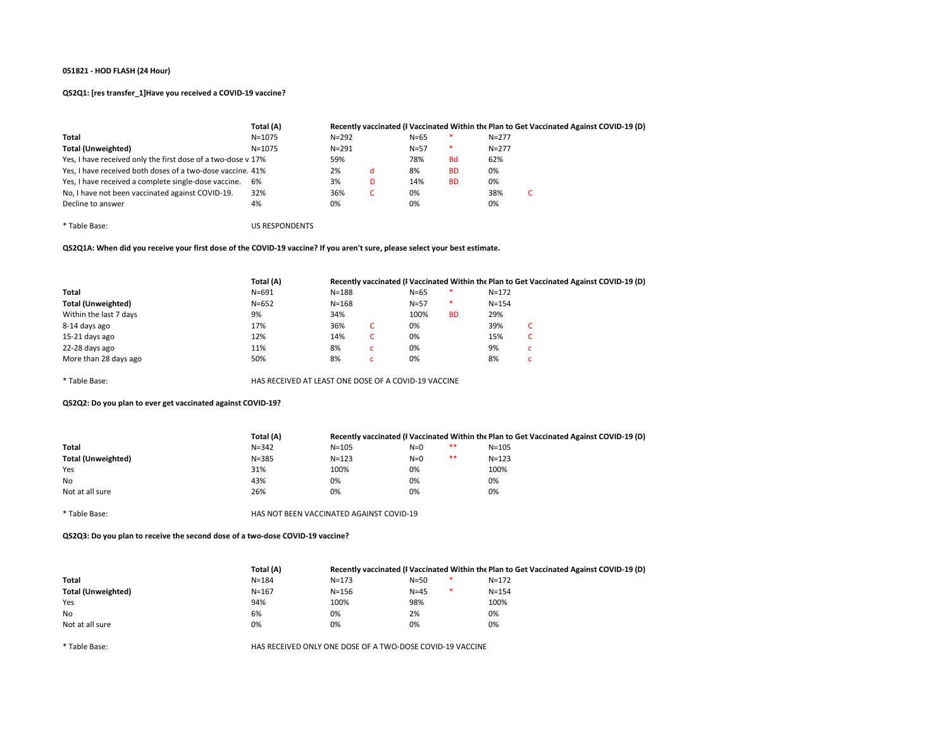# QS2Q1: [res transfer\_1]Have you received a COVID-19 vaccine?

|                                                              | Total (A)  |           |   |          |           |           | Recently vaccinated (I Vaccinated Within the Plan to Get Vaccinated Against COVID-19 (D) |
|--------------------------------------------------------------|------------|-----------|---|----------|-----------|-----------|------------------------------------------------------------------------------------------|
| Total                                                        | $N = 1075$ | $N = 292$ |   | $N = 65$ |           | $N = 277$ |                                                                                          |
| Total (Unweighted)                                           | $N = 1075$ | $N = 291$ |   | $N = 57$ | *         | $N = 277$ |                                                                                          |
| Yes, I have received only the first dose of a two-dose v 17% |            | 59%       |   | 78%      | <b>Bd</b> | 62%       |                                                                                          |
| Yes, I have received both doses of a two-dose vaccine. 41%   |            | 2%        | d | 8%       | <b>BD</b> | 0%        |                                                                                          |
| Yes, I have received a complete single-dose vaccine.         | 6%         | 3%        | D | 14%      | <b>BD</b> | 0%        |                                                                                          |
| No, I have not been vaccinated against COVID-19.             | 32%        | 36%       |   | 0%       |           | 38%       | τ.                                                                                       |
| Decline to answer                                            | 4%         | 0%        |   | 0%       |           | 0%        |                                                                                          |

\* Table Base: US RESPONDENTS

QS2Q1A: When did you receive your first dose of the COVID-19 vaccine? If you aren't sure, please select your best estimate.

|                           | Total (A)                                            |           |    |        |           |           | Recently vaccinated (I Vaccinated Within the Plan to Get Vaccinated Against COVID-19 (D) |
|---------------------------|------------------------------------------------------|-----------|----|--------|-----------|-----------|------------------------------------------------------------------------------------------|
| Total                     | $N = 691$                                            | $N = 188$ |    | $N=65$ | $\ast$    | $N = 172$ |                                                                                          |
| <b>Total (Unweighted)</b> | $N = 652$                                            | $N = 168$ |    | $N=57$ | *         | $N = 154$ |                                                                                          |
| Within the last 7 days    | 9%                                                   | 34%       |    | 100%   | <b>BD</b> | 29%       |                                                                                          |
| 8-14 days ago             | 17%                                                  | 36%       | C  | 0%     |           | 39%       | C                                                                                        |
| 15-21 days ago            | 12%                                                  | 14%       | C. | 0%     |           | 15%       | c                                                                                        |
| 22-28 days ago            | 11%                                                  | 8%        | c  | 0%     |           | 9%        | c                                                                                        |
| More than 28 days ago     | 50%                                                  | 8%        | c  | 0%     |           | 8%        | $\overline{ }$<br>U                                                                      |
| * Table Base:             | HAS RECEIVED AT LEAST ONE DOSE OF A COVID-19 VACCINE |           |    |        |           |           |                                                                                          |

QS2Q2: Do you plan to ever get vaccinated against COVID-19?

| Total (A) |           |       |       |                                          |                                                                                          |
|-----------|-----------|-------|-------|------------------------------------------|------------------------------------------------------------------------------------------|
| $N = 342$ | $N = 105$ | $N=0$ | $***$ | $N = 105$                                |                                                                                          |
| $N = 385$ | $N = 123$ | $N=0$ | $**$  | $N = 123$                                |                                                                                          |
| 31%       | 100%      | 0%    |       | 100%                                     |                                                                                          |
| 43%       | 0%        | 0%    |       | 0%                                       |                                                                                          |
| 26%       | 0%        | 0%    |       | 0%                                       |                                                                                          |
|           |           |       |       |                                          |                                                                                          |
|           |           |       |       | HAS NOT BEEN VACCINATED AGAINST COVID-19 | Recently vaccinated (I Vaccinated Within the Plan to Get Vaccinated Against COVID-19 (D) |

QS2Q3: Do you plan to receive the second dose of a two-dose COVID-19 vaccine?

|                    | Total (A) |           |               | Recently vaccinated (I Vaccinated Within the Plan to Get Vaccinated Against COVID-19 (D) |  |
|--------------------|-----------|-----------|---------------|------------------------------------------------------------------------------------------|--|
| Total              | $N = 184$ | $N = 173$ | $N = 50$<br>∗ | $N = 172$                                                                                |  |
| Total (Unweighted) | $N = 167$ | $N = 156$ | $N=45$<br>∗   | $N = 154$                                                                                |  |
| Yes                | 94%       | 100%      | 98%           | 100%                                                                                     |  |
| No                 | 6%        | 0%        | 2%            | 0%                                                                                       |  |
| Not at all sure    | 0%        | 0%        | 0%            | 0%                                                                                       |  |
|                    |           |           |               |                                                                                          |  |

\* Table Base: HAS RECEIVED ONLY ONE DOSE OF A TWO-DOSE COVID-19 VACCINE